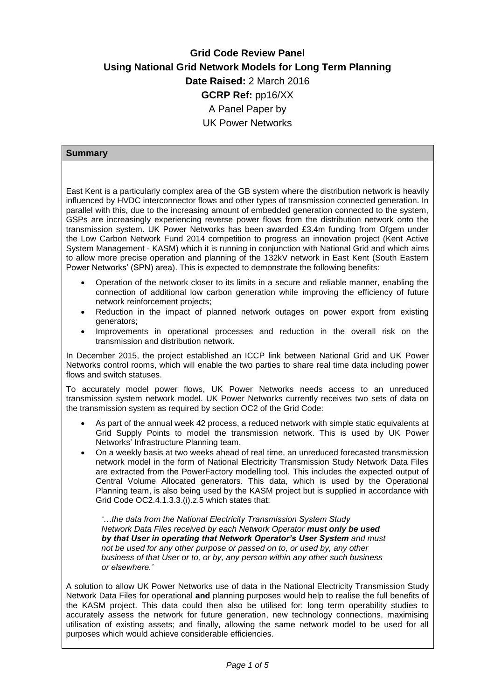# **Grid Code Review Panel Using National Grid Network Models for Long Term Planning Date Raised:** 2 March 2016 **GCRP Ref:** pp16/XX A Panel Paper by UK Power Networks

# **Summary**

East Kent is a particularly complex area of the GB system where the distribution network is heavily influenced by HVDC interconnector flows and other types of transmission connected generation. In parallel with this, due to the increasing amount of embedded generation connected to the system, GSPs are increasingly experiencing reverse power flows from the distribution network onto the transmission system. UK Power Networks has been awarded £3.4m funding from Ofgem under the Low Carbon Network Fund 2014 competition to progress an innovation project (Kent Active System Management - KASM) which it is running in conjunction with National Grid and which aims to allow more precise operation and planning of the 132kV network in East Kent (South Eastern Power Networks' (SPN) area). This is expected to demonstrate the following benefits:

- Operation of the network closer to its limits in a secure and reliable manner, enabling the connection of additional low carbon generation while improving the efficiency of future network reinforcement projects;
- Reduction in the impact of planned network outages on power export from existing generators;
- Improvements in operational processes and reduction in the overall risk on the transmission and distribution network.

In December 2015, the project established an ICCP link between National Grid and UK Power Networks control rooms, which will enable the two parties to share real time data including power flows and switch statuses.

To accurately model power flows, UK Power Networks needs access to an unreduced transmission system network model. UK Power Networks currently receives two sets of data on the transmission system as required by section OC2 of the Grid Code:

- As part of the annual week 42 process, a reduced network with simple static equivalents at Grid Supply Points to model the transmission network. This is used by UK Power Networks' Infrastructure Planning team.
- On a weekly basis at two weeks ahead of real time, an unreduced forecasted transmission network model in the form of National Electricity Transmission Study Network Data Files are extracted from the PowerFactory modelling tool. This includes the expected output of Central Volume Allocated generators. This data, which is used by the Operational Planning team, is also being used by the KASM project but is supplied in accordance with Grid Code OC2.4.1.3.3.(i).z.5 which states that:

*'…the data from the National Electricity Transmission System Study Network Data Files received by each Network Operator must only be used by that User in operating that Network Operator's User System and must not be used for any other purpose or passed on to, or used by, any other business of that User or to, or by, any person within any other such business or elsewhere.'* 

A solution to allow UK Power Networks use of data in the National Electricity Transmission Study Network Data Files for operational **and** planning purposes would help to realise the full benefits of the KASM project. This data could then also be utilised for: long term operability studies to accurately assess the network for future generation, new technology connections, maximising utilisation of existing assets; and finally, allowing the same network model to be used for all purposes which would achieve considerable efficiencies.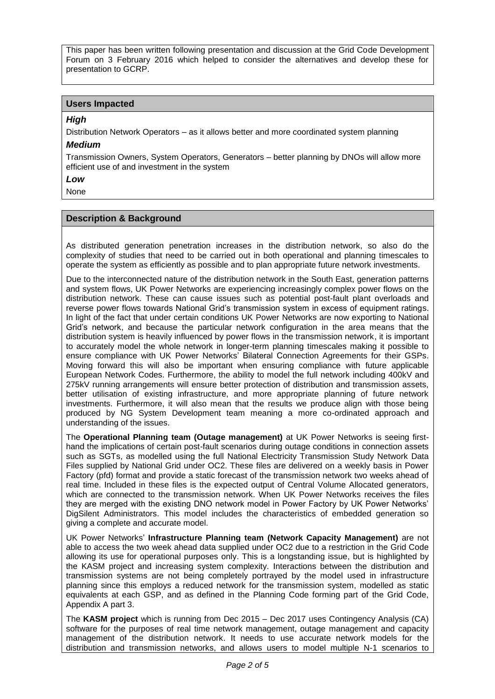This paper has been written following presentation and discussion at the Grid Code Development Forum on 3 February 2016 which helped to consider the alternatives and develop these for presentation to GCRP.

# **Users Impacted**

### *High*

Distribution Network Operators – as it allows better and more coordinated system planning

### *Medium*

Transmission Owners, System Operators, Generators – better planning by DNOs will allow more efficient use of and investment in the system

# *Low*

None

### **Description & Background**

As distributed generation penetration increases in the distribution network, so also do the complexity of studies that need to be carried out in both operational and planning timescales to operate the system as efficiently as possible and to plan appropriate future network investments.

Due to the interconnected nature of the distribution network in the South East, generation patterns and system flows, UK Power Networks are experiencing increasingly complex power flows on the distribution network. These can cause issues such as potential post-fault plant overloads and reverse power flows towards National Grid's transmission system in excess of equipment ratings. In light of the fact that under certain conditions UK Power Networks are now exporting to National Grid's network, and because the particular network configuration in the area means that the distribution system is heavily influenced by power flows in the transmission network, it is important to accurately model the whole network in longer-term planning timescales making it possible to ensure compliance with UK Power Networks' Bilateral Connection Agreements for their GSPs. Moving forward this will also be important when ensuring compliance with future applicable European Network Codes. Furthermore, the ability to model the full network including 400kV and 275kV running arrangements will ensure better protection of distribution and transmission assets, better utilisation of existing infrastructure, and more appropriate planning of future network investments. Furthermore, it will also mean that the results we produce align with those being produced by NG System Development team meaning a more co-ordinated approach and understanding of the issues.

The **Operational Planning team (Outage management)** at UK Power Networks is seeing firsthand the implications of certain post-fault scenarios during outage conditions in connection assets such as SGTs, as modelled using the full National Electricity Transmission Study Network Data Files supplied by National Grid under OC2. These files are delivered on a weekly basis in Power Factory (pfd) format and provide a static forecast of the transmission network two weeks ahead of real time. Included in these files is the expected output of Central Volume Allocated generators, which are connected to the transmission network. When UK Power Networks receives the files they are merged with the existing DNO network model in Power Factory by UK Power Networks' DigSilent Administrators. This model includes the characteristics of embedded generation so giving a complete and accurate model.

UK Power Networks' **Infrastructure Planning team (Network Capacity Management)** are not able to access the two week ahead data supplied under OC2 due to a restriction in the Grid Code allowing its use for operational purposes only. This is a longstanding issue, but is highlighted by the KASM project and increasing system complexity. Interactions between the distribution and transmission systems are not being completely portrayed by the model used in infrastructure planning since this employs a reduced network for the transmission system, modelled as static equivalents at each GSP, and as defined in the Planning Code forming part of the Grid Code, Appendix A part 3.

The **KASM project** which is running from Dec 2015 – Dec 2017 uses Contingency Analysis (CA) software for the purposes of real time network management, outage management and capacity management of the distribution network. It needs to use accurate network models for the distribution and transmission networks, and allows users to model multiple N-1 scenarios to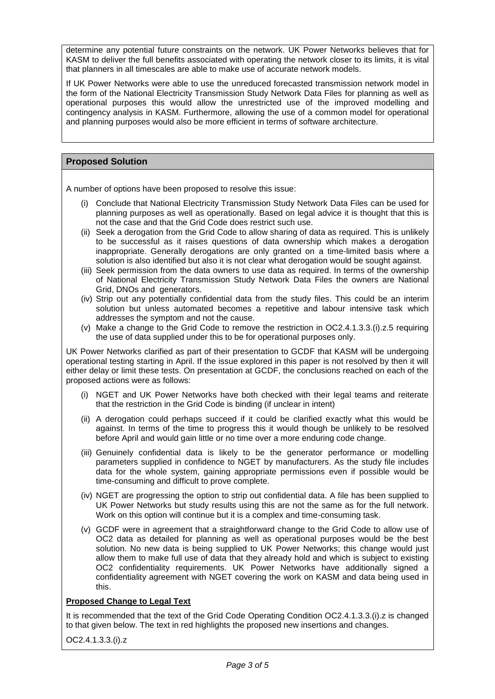determine any potential future constraints on the network. UK Power Networks believes that for KASM to deliver the full benefits associated with operating the network closer to its limits, it is vital that planners in all timescales are able to make use of accurate network models.

If UK Power Networks were able to use the unreduced forecasted transmission network model in the form of the National Electricity Transmission Study Network Data Files for planning as well as operational purposes this would allow the unrestricted use of the improved modelling and contingency analysis in KASM. Furthermore, allowing the use of a common model for operational and planning purposes would also be more efficient in terms of software architecture.

# **Proposed Solution**

A number of options have been proposed to resolve this issue:

- (i) Conclude that National Electricity Transmission Study Network Data Files can be used for planning purposes as well as operationally. Based on legal advice it is thought that this is not the case and that the Grid Code does restrict such use.
- (ii) Seek a derogation from the Grid Code to allow sharing of data as required. This is unlikely to be successful as it raises questions of data ownership which makes a derogation inappropriate. Generally derogations are only granted on a time-limited basis where a solution is also identified but also it is not clear what derogation would be sought against.
- (iii) Seek permission from the data owners to use data as required. In terms of the ownership of National Electricity Transmission Study Network Data Files the owners are National Grid, DNOs and generators.
- (iv) Strip out any potentially confidential data from the study files. This could be an interim solution but unless automated becomes a repetitive and labour intensive task which addresses the symptom and not the cause.
- (v) Make a change to the Grid Code to remove the restriction in OC2.4.1.3.3.(i).z.5 requiring the use of data supplied under this to be for operational purposes only.

UK Power Networks clarified as part of their presentation to GCDF that KASM will be undergoing operational testing starting in April. If the issue explored in this paper is not resolved by then it will either delay or limit these tests. On presentation at GCDF, the conclusions reached on each of the proposed actions were as follows:

- (i) NGET and UK Power Networks have both checked with their legal teams and reiterate that the restriction in the Grid Code is binding (if unclear in intent)
- (ii) A derogation could perhaps succeed if it could be clarified exactly what this would be against. In terms of the time to progress this it would though be unlikely to be resolved before April and would gain little or no time over a more enduring code change.
- (iii) Genuinely confidential data is likely to be the generator performance or modelling parameters supplied in confidence to NGET by manufacturers. As the study file includes data for the whole system, gaining appropriate permissions even if possible would be time-consuming and difficult to prove complete.
- (iv) NGET are progressing the option to strip out confidential data. A file has been supplied to UK Power Networks but study results using this are not the same as for the full network. Work on this option will continue but it is a complex and time-consuming task.
- (v) GCDF were in agreement that a straightforward change to the Grid Code to allow use of OC2 data as detailed for planning as well as operational purposes would be the best solution. No new data is being supplied to UK Power Networks; this change would just allow them to make full use of data that they already hold and which is subject to existing OC2 confidentiality requirements. UK Power Networks have additionally signed a confidentiality agreement with NGET covering the work on KASM and data being used in this.

# **Proposed Change to Legal Text**

It is recommended that the text of the Grid Code Operating Condition OC2.4.1.3.3.(i).z is changed to that given below. The text in red highlights the proposed new insertions and changes.

OC2.4.1.3.3.(i).z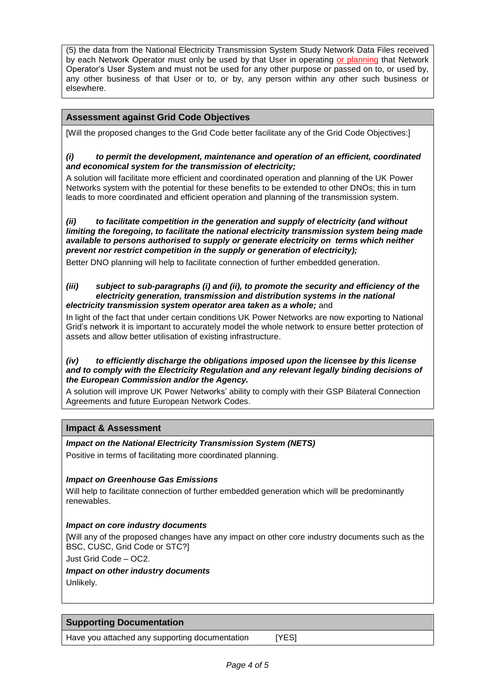(5) the data from the National Electricity Transmission System Study Network Data Files received by each Network Operator must only be used by that User in operating or planning that Network Operator's User System and must not be used for any other purpose or passed on to, or used by, any other business of that User or to, or by, any person within any other such business or elsewhere.

# **Assessment against Grid Code Objectives**

[Will the proposed changes to the Grid Code better facilitate any of the Grid Code Objectives:]

### *(i) to permit the development, maintenance and operation of an efficient, coordinated and economical system for the transmission of electricity;*

A solution will facilitate more efficient and coordinated operation and planning of the UK Power Networks system with the potential for these benefits to be extended to other DNOs; this in turn leads to more coordinated and efficient operation and planning of the transmission system.

*(ii) to facilitate competition in the generation and supply of electricity (and without limiting the foregoing, to facilitate the national electricity transmission system being made available to persons authorised to supply or generate electricity on terms which neither prevent nor restrict competition in the supply or generation of electricity);*

Better DNO planning will help to facilitate connection of further embedded generation.

#### *(iii) subject to sub-paragraphs (i) and (ii), to promote the security and efficiency of the electricity generation, transmission and distribution systems in the national electricity transmission system operator area taken as a whole;* and

In light of the fact that under certain conditions UK Power Networks are now exporting to National Grid's network it is important to accurately model the whole network to ensure better protection of assets and allow better utilisation of existing infrastructure.

### *(iv) to efficiently discharge the obligations imposed upon the licensee by this license and to comply with the Electricity Regulation and any relevant legally binding decisions of the European Commission and/or the Agency.*

A solution will improve UK Power Networks' ability to comply with their GSP Bilateral Connection Agreements and future European Network Codes.

# **Impact & Assessment**

### *Impact on the National Electricity Transmission System (NETS)*

Positive in terms of facilitating more coordinated planning.

### *Impact on Greenhouse Gas Emissions*

Will help to facilitate connection of further embedded generation which will be predominantly renewables.

### *Impact on core industry documents*

[Will any of the proposed changes have any impact on other core industry documents such as the BSC, CUSC, Grid Code or STC?]

Just Grid Code – OC2.

# *Impact on other industry documents* Unlikely.

# **Supporting Documentation**

Have you attached any supporting documentation [YES]